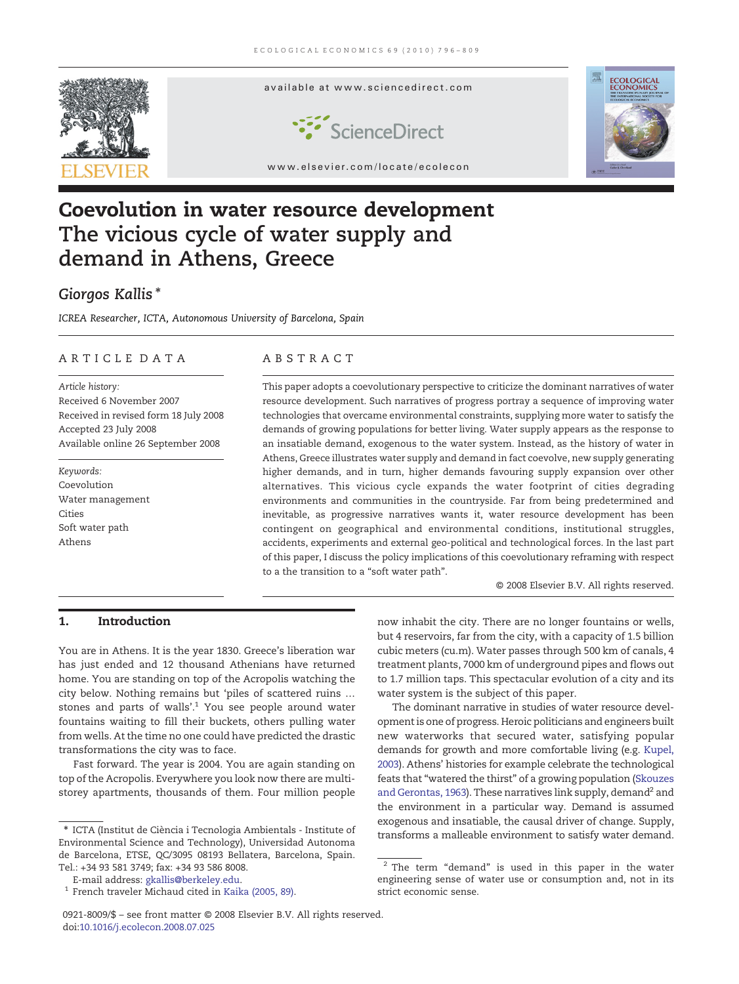

# Coevolution in water resource development The vicious cycle of water supply and demand in Athens, Greece

## Giorgos Kallis<sup>\*</sup>

ICREA Researcher, ICTA, Autonomous University of Barcelona, Spain

### ARTICLE DATA ABSTRACT

Article history: Received 6 November 2007 Received in revised form 18 July 2008 Accepted 23 July 2008 Available online 26 September 2008

Keywords: Coevolution Water management Cities Soft water path Athens

This paper adopts a coevolutionary perspective to criticize the dominant narratives of water resource development. Such narratives of progress portray a sequence of improving water technologies that overcame environmental constraints, supplying more water to satisfy the demands of growing populations for better living. Water supply appears as the response to an insatiable demand, exogenous to the water system. Instead, as the history of water in Athens, Greece illustrates water supply and demand in fact coevolve, new supply generating higher demands, and in turn, higher demands favouring supply expansion over other alternatives. This vicious cycle expands the water footprint of cities degrading environments and communities in the countryside. Far from being predetermined and inevitable, as progressive narratives wants it, water resource development has been contingent on geographical and environmental conditions, institutional struggles, accidents, experiments and external geo-political and technological forces. In the last part of this paper, I discuss the policy implications of this coevolutionary reframing with respect to a the transition to a "soft water path".

© 2008 Elsevier B.V. All rights reserved.

### 1. Introduction

You are in Athens. It is the year 1830. Greece's liberation war has just ended and 12 thousand Athenians have returned home. You are standing on top of the Acropolis watching the city below. Nothing remains but 'piles of scattered ruins … stones and parts of walls'.<sup>1</sup> You see people around water fountains waiting to fill their buckets, others pulling water from wells. At the time no one could have predicted the drastic transformations the city was to face.

Fast forward. The year is 2004. You are again standing on top of the Acropolis. Everywhere you look now there are multistorey apartments, thousands of them. Four million people

0921-8009/\$ – see front matter © 2008 Elsevier B.V. All rights reserved. doi[:10.1016/j.ecolecon.2008.07.025](http://dx.doi.org/10.1016/j.ecolecon.2008.07.025)

now inhabit the city. There are no longer fountains or wells, but 4 reservoirs, far from the city, with a capacity of 1.5 billion cubic meters (cu.m). Water passes through 500 km of canals, 4 treatment plants, 7000 km of underground pipes and flows out to 1.7 million taps. This spectacular evolution of a city and its water system is the subject of this paper.

The dominant narrative in studies of water resource development is one of progress. Heroic politicians and engineers built new waterworks that secured water, satisfying popular demands for growth and more comfortable living (e.g. [Kupel,](#page--1-0) [2003\)](#page--1-0). Athens' histories for example celebrate the technological feats that "watered the thirst" of a growing population [\(Skouzes](#page--1-0) [and Gerontas, 1963\)](#page--1-0). These narratives link supply, demand<sup>2</sup> and the environment in a particular way. Demand is assumed exogenous and insatiable, the causal driver of change. Supply, transforms a malleable environment to satisfy water demand.

<sup>⁎</sup> ICTA (Institut de Ciència i Tecnologia Ambientals - Institute of Environmental Science and Technology), Universidad Autonoma de Barcelona, ETSE, QC/3095 08193 Bellatera, Barcelona, Spain. Tel.: +34 93 581 3749; fax: +34 93 586 8008.

E-mail address: [gkallis@berkeley.edu](mailto:gkallis@berkeley.edu).

French traveler Michaud cited in [Kaika \(2005, 89\).](#page--1-0)

 $2$  The term "demand" is used in this paper in the water engineering sense of water use or consumption and, not in its strict economic sense.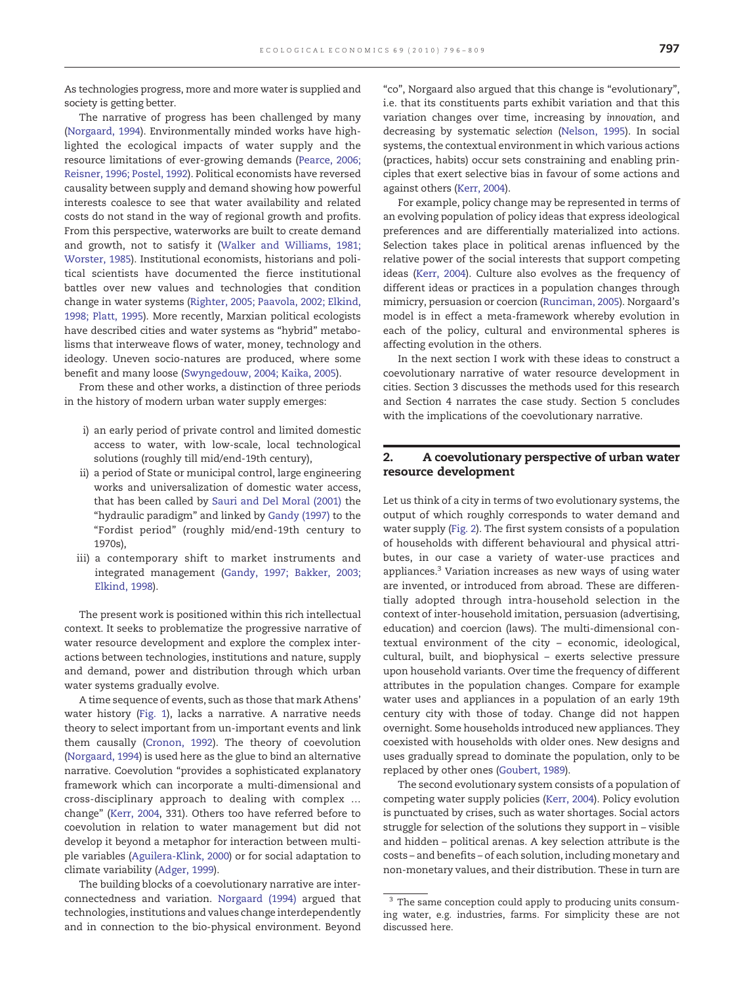As technologies progress, more and more water is supplied and society is getting better.

The narrative of progress has been challenged by many [\(Norgaard, 1994](#page--1-0)). Environmentally minded works have highlighted the ecological impacts of water supply and the resource limitations of ever-growing demands ([Pearce, 2006;](#page--1-0) [Reisner, 1996; Postel, 1992](#page--1-0)). Political economists have reversed causality between supply and demand showing how powerful interests coalesce to see that water availability and related costs do not stand in the way of regional growth and profits. From this perspective, waterworks are built to create demand and growth, not to satisfy it ([Walker and Williams, 1981;](#page--1-0) [Worster, 1985\)](#page--1-0). Institutional economists, historians and political scientists have documented the fierce institutional battles over new values and technologies that condition change in water systems [\(Righter, 2005; Paavola, 2002; Elkind,](#page--1-0) [1998; Platt, 1995](#page--1-0)). More recently, Marxian political ecologists have described cities and water systems as "hybrid" metabolisms that interweave flows of water, money, technology and ideology. Uneven socio-natures are produced, where some benefit and many loose ([Swyngedouw, 2004; Kaika, 2005\)](#page--1-0).

From these and other works, a distinction of three periods in the history of modern urban water supply emerges:

- i) an early period of private control and limited domestic access to water, with low-scale, local technological solutions (roughly till mid/end-19th century),
- ii) a period of State or municipal control, large engineering works and universalization of domestic water access, that has been called by [Sauri and Del Moral \(2001\)](#page--1-0) the "hydraulic paradigm" and linked by [Gandy \(1997\)](#page--1-0) to the "Fordist period" (roughly mid/end-19th century to 1970s),
- iii) a contemporary shift to market instruments and integrated management ([Gandy, 1997; Bakker, 2003;](#page--1-0) [Elkind, 1998](#page--1-0)).

The present work is positioned within this rich intellectual context. It seeks to problematize the progressive narrative of water resource development and explore the complex interactions between technologies, institutions and nature, supply and demand, power and distribution through which urban water systems gradually evolve.

A time sequence of events, such as those that mark Athens' water history [\(Fig. 1](#page--1-0)), lacks a narrative. A narrative needs theory to select important from un-important events and link them causally ([Cronon, 1992](#page--1-0)). The theory of coevolution [\(Norgaard, 1994](#page--1-0)) is used here as the glue to bind an alternative narrative. Coevolution "provides a sophisticated explanatory framework which can incorporate a multi-dimensional and cross-disciplinary approach to dealing with complex … change" ([Kerr, 2004](#page--1-0), 331). Others too have referred before to coevolution in relation to water management but did not develop it beyond a metaphor for interaction between multiple variables [\(Aguilera-Klink, 2000\)](#page--1-0) or for social adaptation to climate variability [\(Adger, 1999](#page--1-0)).

The building blocks of a coevolutionary narrative are interconnectedness and variation. [Norgaard \(1994\)](#page--1-0) argued that technologies, institutions and values change interdependently and in connection to the bio-physical environment. Beyond

"co", Norgaard also argued that this change is "evolutionary", i.e. that its constituents parts exhibit variation and that this variation changes over time, increasing by innovation, and decreasing by systematic selection ([Nelson, 1995\)](#page--1-0). In social systems, the contextual environment in which various actions (practices, habits) occur sets constraining and enabling principles that exert selective bias in favour of some actions and against others ([Kerr, 2004](#page--1-0)).

For example, policy change may be represented in terms of an evolving population of policy ideas that express ideological preferences and are differentially materialized into actions. Selection takes place in political arenas influenced by the relative power of the social interests that support competing ideas ([Kerr, 2004\)](#page--1-0). Culture also evolves as the frequency of different ideas or practices in a population changes through mimicry, persuasion or coercion ([Runciman, 2005](#page--1-0)). Norgaard's model is in effect a meta-framework whereby evolution in each of the policy, cultural and environmental spheres is affecting evolution in the others.

In the next section I work with these ideas to construct a coevolutionary narrative of water resource development in cities. Section 3 discusses the methods used for this research and Section 4 narrates the case study. Section 5 concludes with the implications of the coevolutionary narrative.

### 2. A coevolutionary perspective of urban water resource development

Let us think of a city in terms of two evolutionary systems, the output of which roughly corresponds to water demand and water supply ([Fig. 2\)](#page--1-0). The first system consists of a population of households with different behavioural and physical attributes, in our case a variety of water-use practices and appliances.3 Variation increases as new ways of using water are invented, or introduced from abroad. These are differentially adopted through intra-household selection in the context of inter-household imitation, persuasion (advertising, education) and coercion (laws). The multi-dimensional contextual environment of the city – economic, ideological, cultural, built, and biophysical – exerts selective pressure upon household variants. Over time the frequency of different attributes in the population changes. Compare for example water uses and appliances in a population of an early 19th century city with those of today. Change did not happen overnight. Some households introduced new appliances. They coexisted with households with older ones. New designs and uses gradually spread to dominate the population, only to be replaced by other ones [\(Goubert, 1989](#page--1-0)).

The second evolutionary system consists of a population of competing water supply policies [\(Kerr, 2004\)](#page--1-0). Policy evolution is punctuated by crises, such as water shortages. Social actors struggle for selection of the solutions they support in – visible and hidden – political arenas. A key selection attribute is the costs – and benefits – of each solution, including monetary and non-monetary values, and their distribution. These in turn are

<sup>&</sup>lt;sup>3</sup> The same conception could apply to producing units consuming water, e.g. industries, farms. For simplicity these are not discussed here.